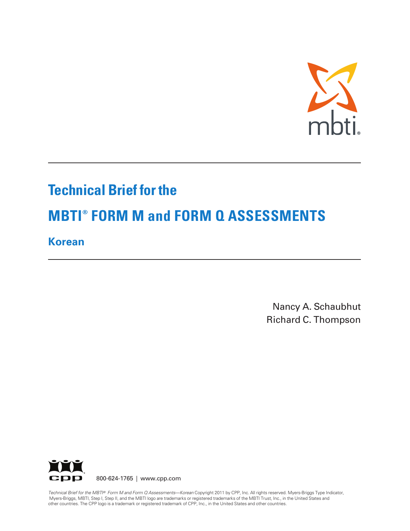

# **Technical Brief for the**

# **MBTI ® FORM M and FORM Q ASSESSMENTS**

**Korean**

Nancy A. Schaubhut Richard C. Thompson



800-624-1765 | www.cpp.com

Technical Brief for the MBTI® Form M and Form Q Assessments—Korean Copyright 2011 by CPP, Inc. All rights reserved. Myers-Briggs Type Indicator, Myers-Briggs, MBTI, Step I, Step II, and the MBTI logo are trademarks or registered trademarks of the MBTI Trust, Inc., in the United States and other countries. The CPP logo is a trademark or registered trademark of CPP, Inc., in the United States and other countries.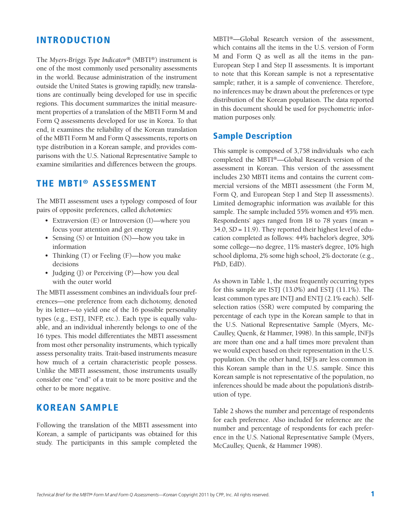### **INTRODUCTION**

The *Myers-Briggs Type Indicator®* (MBTI®) instrument is one of the most commonly used personality assessments in the world. Because administration of the instrument outside the United States is growing rapidly, new translations are continually being developed for use in specific regions. This document summarizes the initial measurement properties of a translation of the MBTI Form M and Form Q assessments developed for use in Korea. To that end, it examines the reliability of the Korean translation of the MBTI Form M and Form Q assessments, reports on type distribution in a Korean sample, and provides comparisons with the U.S. National Representative Sample to examine similarities and differences between the groups.

## **THE MBTI ® ASSESSMENT**

The MBTI assessment uses a typology composed of four pairs of opposite preferences, called *dichotomies:*

- Extraversion (E) or Introversion (I)—where you focus your attention and get energy
- Sensing (S) or Intuition (N)—how you take in information
- Thinking (T) or Feeling (F)—how you make decisions
- Judging (J) or Perceiving (P)—how you deal with the outer world

The MBTI assessment combines an individual's four preferences—one preference from each dichotomy, denoted by its letter—to yield one of the 16 possible personality types (e.g., ESTJ, INFP, etc.). Each type is equally valuable, and an individual inherently belongs to one of the 16 types. This model differentiates the MBTI assessment from most other personality instruments, which typically assess personality traits. Trait-based instruments measure how much of a certain characteristic people possess. Unlike the MBTI assessment, those instruments usually consider one "end" of a trait to be more positive and the other to be more negative.

#### **KOREAN SAMPLE**

Following the translation of the MBTI assessment into Korean, a sample of participants was obtained for this study. The participants in this sample completed the

MBTI®—Global Research version of the assessment, which contains all the items in the U.S. version of Form M and Form Q as well as all the items in the pan-European Step I and Step II assessments. It is important to note that this Korean sample is not a representative sample; rather, it is a sample of convenience. Therefore, no inferences may be drawn about the preferences or type distribution of the Korean population. The data reported in this document should be used for psychometric information purposes only.

#### **Sample Description**

This sample is composed of 3,758 individuals who each completed the MBTI®—Global Research version of the assessment in Korean. This version of the assessment includes 230 MBTI items and contains the current commercial versions of the MBTI assessment (the Form M, Form Q, and European Step I and Step II assessments). Limited demographic information was available for this sample. The sample included 55% women and 45% men. Respondents' ages ranged from 18 to 78 years (mean = 34.0, *SD* = 11.9). They reported their highest level of education completed as follows: 44% bachelor's degree, 30% some college—no degree, 11% master's degree, 10% high school diploma, 2% some high school, 2% doctorate (e.g., PhD, EdD).

As shown in Table 1, the most frequently occurring types for this sample are ISTJ (13.0%) and ESTJ (11.1%). The least common types are INTJ and ENTJ (2.1% each). Selfselection ratios (SSR) were computed by comparing the percentage of each type in the Korean sample to that in the U.S. National Representative Sample (Myers, Mc-Caulley, Quenk, & Hammer, 1998). In this sample, INFJs are more than one and a half times more prevalent than we would expect based on their representation in the U.S. population. On the other hand, ISFJs are less common in this Korean sample than in the U.S. sample. Since this Korean sample is not representative of the population, no inferences should be made about the population's distribution of type.

Table 2 shows the number and percentage of respondents for each preference. Also included for reference are the number and percentage of respondents for each preference in the U.S. National Representative Sample (Myers, McCaulley, Quenk, & Hammer 1998).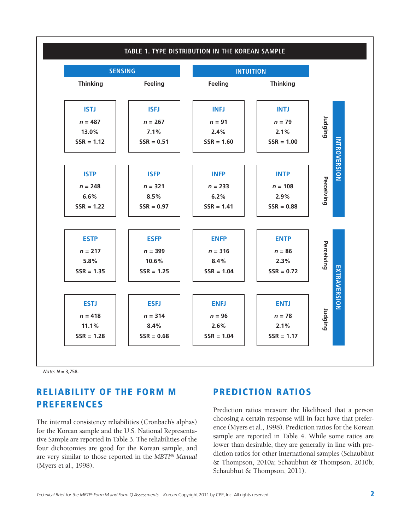

*Note: N* = 3,758.

## **RELIABILITY OF THE FORM M PREFERENCES**

The internal consistency reliabilities (Cronbach's alphas) for the Korean sample and the U.S. National Representative Sample are reported in Table 3. The reliabilities of the four dichotomies are good for the Korean sample, and are very similar to those reported in the *MBTI® Manual* (Myers et al., 1998).

## **PREDICTION RATIOS**

Prediction ratios measure the likelihood that a person choosing a certain response will in fact have that preference (Myers et al., 1998). Prediction ratios for the Korean sample are reported in Table 4. While some ratios are lower than desirable, they are generally in line with prediction ratios for other international samples (Schaubhut & Thompson, 2010a; Schaubhut & Thompson, 2010b; Schaubhut & Thompson, 2011).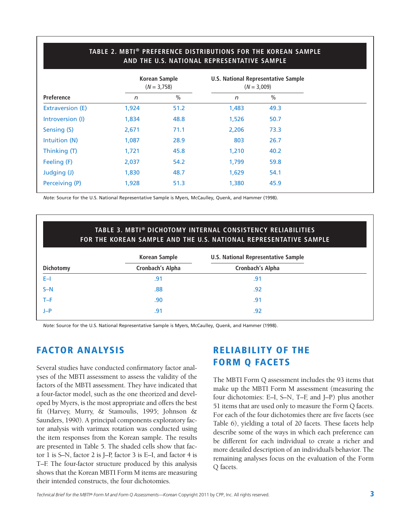|                         | <b>Korean Sample</b><br>$(N = 3,758)$ |               | U.S. National Representative Sample<br>$(N = 3,009)$ |               |  |
|-------------------------|---------------------------------------|---------------|------------------------------------------------------|---------------|--|
| Preference              | n                                     | $\frac{0}{0}$ | $\sqrt{n}$                                           | $\frac{0}{0}$ |  |
| <b>Extraversion (E)</b> | 1,924                                 | 51.2          | 1,483                                                | 49.3          |  |
| Introversion (I)        | 1,834                                 | 48.8          | 1,526                                                | 50.7          |  |
| Sensing (S)             | 2,671                                 | 71.1          | 2,206                                                | 73.3          |  |
| Intuition (N)           | 1,087                                 | 28.9          | 803                                                  | 26.7          |  |
| Thinking (T)            | 1,721                                 | 45.8          | 1,210                                                | 40.2          |  |
| Feeling (F)             | 2,037                                 | 54.2          | 1,799                                                | 59.8          |  |
| Judging (J)             | 1,830                                 | 48.7          | 1,629                                                | 54.1          |  |
| Perceiving (P)          | 1,928                                 | 51.3          | 1,380                                                | 45.9          |  |
|                         |                                       |               |                                                      |               |  |

**TABLE 2. MBTI® PREFERENCE DISTRIBUTIONS FOR THE KOREAN SAMPLE**

*Note:* Source for the U.S. National Representative Sample is Myers, McCaulley, Quenk, and Hammer (1998).

#### **TABLE 3. MBTI® DICHOTOMY INTERNAL CONSISTENCY RELIABILITIES FOR THE KOREAN SAMPLE AND THE U.S. NATIONAL REPRESENTATIVE SAMPLE**

| Korean Sample           | <b>U.S. National Representative Sample</b> |  |
|-------------------------|--------------------------------------------|--|
| <b>Cronbach's Alpha</b> | <b>Cronbach's Alpha</b>                    |  |
| .91                     | .91                                        |  |
| .88                     | .92                                        |  |
| .90                     | .91                                        |  |
| .91                     | .92                                        |  |
|                         |                                            |  |

*Note:* Source for the U.S. National Representative Sample is Myers, McCaulley, Quenk, and Hammer (1998).

## **FACTOR ANALYSIS**

Several studies have conducted confirmatory factor analyses of the MBTI assessment to assess the validity of the factors of the MBTI assessment. They have indicated that a four-factor model, such as the one theorized and developed by Myers, is the most appropriate and offers the best fit (Harvey, Murry, & Stamoulis, 1995; Johnson & Saunders, 1990). A principal components exploratory factor analysis with varimax rotation was conducted using the item responses from the Korean sample. The results are presented in Table 5. The shaded cells show that factor 1 is S–N, factor 2 is J–P, factor 3 is E–I, and factor 4 is T–F. The four-factor structure produced by this analysis shows that the Korean MBTI Form M items are measuring their intended constructs, the four dichotomies.

## **RELIABILITY OF THE FORM Q FACETS**

The MBTI Form Q assessment includes the 93 items that make up the MBTI Form M assessment (measuring the four dichotomies: E–I, S–N, T–F, and J–P) plus another 51 items that are used only to measure the Form Q facets. For each of the four dichotomies there are five facets (see Table 6), yielding a total of 20 facets. These facets help describe some of the ways in which each preference can be different for each individual to create a richer and more detailed description of an individual's behavior. The remaining analyses focus on the evaluation of the Form Q facets.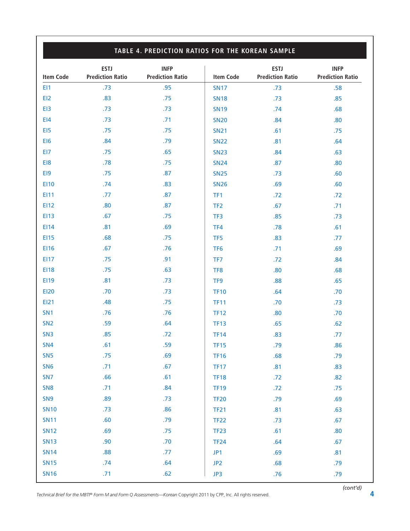| <b>Item Code</b> | <b>ESTJ</b><br><b>Prediction Ratio</b> | <b>INFP</b><br><b>Prediction Ratio</b> | <b>Item Code</b> | <b>ESTJ</b><br><b>Prediction Ratio</b> | <b>INFP</b><br><b>Prediction Ratio</b> |
|------------------|----------------------------------------|----------------------------------------|------------------|----------------------------------------|----------------------------------------|
| EI1              | .73                                    | .95                                    | <b>SN17</b>      | .73                                    | .58                                    |
| EI2              | .83                                    | .75                                    | <b>SN18</b>      | .73                                    | .85                                    |
| EI3              | .73                                    | .73                                    | <b>SN19</b>      | .74                                    | .68                                    |
| E <sub>14</sub>  | .73                                    | .71                                    | <b>SN20</b>      | .84                                    | .80                                    |
| EI5              | .75                                    | .75                                    | <b>SN21</b>      | .61                                    | .75                                    |
| EI6              | .84                                    | .79                                    | <b>SN22</b>      | .81                                    | .64                                    |
| EI7              | .75                                    | .65                                    | <b>SN23</b>      | .84                                    | .63                                    |
| EI8              | .78                                    | .75                                    | <b>SN24</b>      | .87                                    | .80                                    |
| EI9              | .75                                    | .87                                    | <b>SN25</b>      | .73                                    | .60                                    |
| <b>EI10</b>      | .74                                    | .83                                    | <b>SN26</b>      | .69                                    | .60                                    |
| <b>EI11</b>      | .77                                    | .87                                    | TF1              | .72                                    | .72                                    |
| EI12             | .80                                    | .87                                    | TF <sub>2</sub>  | .67                                    | .71                                    |
| <b>EI13</b>      | .67                                    | .75                                    | TF3              | .85                                    | .73                                    |
| EI14             | .81                                    | .69                                    | TF4              | .78                                    | .61                                    |
| <b>EI15</b>      | .68                                    | .75                                    | TF <sub>5</sub>  | .83                                    | .77                                    |
| <b>EI16</b>      | .67                                    | .76                                    | TF <sub>6</sub>  | .71                                    | .69                                    |
| E117             | .75                                    | .91                                    | TF7              | .72                                    | .84                                    |
| <b>EI18</b>      | .75                                    | .63                                    | TF8              | .80                                    | .68                                    |
| EI19             | .81                                    | .73                                    | TF <sub>9</sub>  | .88                                    | .65                                    |
| <b>EI20</b>      | .70                                    | .73                                    | <b>TF10</b>      | .64                                    | .70                                    |
| <b>EI21</b>      | .48                                    | .75                                    | <b>TF11</b>      | .70                                    | .73                                    |
| SN <sub>1</sub>  | .76                                    | .76                                    | <b>TF12</b>      | .80                                    | .70                                    |
| SN <sub>2</sub>  | .59                                    | .64                                    | <b>TF13</b>      | .65                                    | .62                                    |
| SN <sub>3</sub>  | .85                                    | .72                                    | <b>TF14</b>      | .83                                    | .77                                    |
| SN4              | .61                                    | .59                                    | <b>TF15</b>      | .79                                    | .86                                    |
| SN <sub>5</sub>  | .75                                    | .69                                    | <b>TF16</b>      | .68                                    | .79                                    |
| SN <sub>6</sub>  | .71                                    | .67                                    | <b>TF17</b>      | .81                                    | .83                                    |
| SN <sub>7</sub>  | .66                                    | .61                                    | <b>TF18</b>      | .72                                    | .82                                    |
| SN <sub>8</sub>  | .71                                    | .84                                    | <b>TF19</b>      | .72                                    | .75                                    |
| SN <sub>9</sub>  | .89                                    | .73                                    | <b>TF20</b>      | .79                                    | .69                                    |
| <b>SN10</b>      | .73                                    | .86                                    | <b>TF21</b>      | .81                                    | .63                                    |
| <b>SN11</b>      | .60                                    | .79                                    | <b>TF22</b>      | .73                                    | .67                                    |
| <b>SN12</b>      | .69                                    | .75                                    | <b>TF23</b>      | .61                                    | .80                                    |
| <b>SN13</b>      | .90                                    | .70                                    | <b>TF24</b>      | .64                                    | .67                                    |
| <b>SN14</b>      | .88                                    | .77                                    | JP1              | .69                                    | .81                                    |
| <b>SN15</b>      | .74                                    | .64                                    | JP2              | .68                                    | .79                                    |
| <b>SN16</b>      | .71                                    | .62                                    | JP3              | .76                                    | .79                                    |

*Technical Brief for the MBTI ® Form <sup>M</sup> and Form <sup>Q</sup> Assessments—Korean* Copyright <sup>2011</sup> by CPP, Inc. All rights reserved. **4**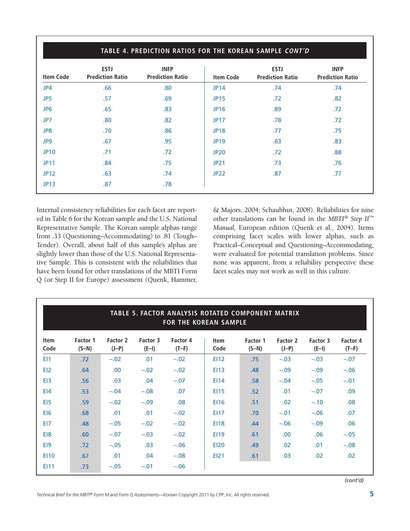| TABLE 4. PREDICTION RATIOS FOR THE KOREAN SAMPLE CONT'D |                                        |                                        |                  |                                        |                                        |  |  |
|---------------------------------------------------------|----------------------------------------|----------------------------------------|------------------|----------------------------------------|----------------------------------------|--|--|
| <b>Item Code</b>                                        | <b>ESTJ</b><br><b>Prediction Ratio</b> | <b>INFP</b><br><b>Prediction Ratio</b> | <b>Item Code</b> | <b>ESTJ</b><br><b>Prediction Ratio</b> | <b>INFP</b><br><b>Prediction Ratio</b> |  |  |
| JP4                                                     | .66                                    | .80                                    | <b>JP14</b>      | .74                                    | .74                                    |  |  |
| JP5                                                     | .57                                    | .69                                    | <b>JP15</b>      | .72                                    | .82                                    |  |  |
| JP <sub>6</sub>                                         | .65                                    | .83                                    | <b>JP16</b>      | .89                                    | .72                                    |  |  |
| JP7                                                     | .80                                    | .82                                    | <b>JP17</b>      | .78                                    | .72                                    |  |  |
| JP8                                                     | .70                                    | .86                                    | <b>JP18</b>      | .77                                    | .75                                    |  |  |
| JP9                                                     | .67                                    | .95                                    | <b>JP19</b>      | .63                                    | .83                                    |  |  |
| <b>JP10</b>                                             | .71                                    | .72                                    | <b>JP20</b>      | .72                                    | .88                                    |  |  |
| <b>JP11</b>                                             | .84                                    | .75                                    | <b>JP21</b>      | .73                                    | .76                                    |  |  |
| <b>JP12</b>                                             | .63                                    | .74                                    | <b>JP22</b>      | .87                                    | .77                                    |  |  |
| <b>JP13</b>                                             | .87                                    | .78                                    |                  |                                        |                                        |  |  |

Internal consistency reliabilities for each facet are reported in Table 6 for the Korean sample and the U.S. National Representative Sample. The Korean sample alphas range from .33 (Questioning–Accommodating) to .81 (Tough– Tender). Overall, about half of this sample's alphas are slightly lower than those of the U.S. National Representative Sample. This is consistent with the reliabilities that have been found for other translations of the MBTI Form Q (or Step II for Europe) assessment (Quenk, Hammer,

& Majors, 2004; Schaubhut, 2008). Reliabilities for nine other translations can be found in the *MBTI ® Step II ™ Manual,* European edition (Quenk et al., 2004). Items comprising facet scales with lower alphas, such as Practical–Conceptual and Questioning–Accommodating, were evaluated for potential translation problems. Since none was apparent, from a reliability perspective these facet scales may not work as well in this culture.

| TABLE 5. FACTOR ANALYSIS ROTATED COMPONENT MATRIX<br><b>FOR THE KOREAN SAMPLE</b> |                     |                     |                     |                     |                     |                     |                     |                     |                     |
|-----------------------------------------------------------------------------------|---------------------|---------------------|---------------------|---------------------|---------------------|---------------------|---------------------|---------------------|---------------------|
| <b>Item</b><br>Code                                                               | Factor 1<br>$(S-N)$ | Factor 2<br>$(J-P)$ | Factor 3<br>$(E-I)$ | Factor 4<br>$(T-F)$ | <b>Item</b><br>Code | Factor 1<br>$(S-N)$ | Factor 2<br>$(J-P)$ | Factor 3<br>$(E-I)$ | Factor 4<br>$(T-F)$ |
| EI1                                                                               | .72                 | $-.02$              | .01                 | $-.02$              | <b>EI12</b>         | .75                 | $-.03$              | $-.03$              | $-.07$              |
| EI <sub>2</sub>                                                                   | .64                 | .00.                | $-.02$              | $-.02$              | E113                | .48                 | $-.09$              | $-.09$              | $-.06$              |
| E <sub>13</sub>                                                                   | .56                 | .03                 | .04                 | $-.07$              | E114                | .58                 | $-.04$              | $-.05$              | $-.01$              |
| E <sub>14</sub>                                                                   | .53                 | $-.04$              | $-.08$              | .07                 | <b>EI15</b>         | .52                 | .01                 | $-.07$              | .09                 |
| EI5                                                                               | .59                 | $-.02$              | $-.09$              | .08                 | <b>EI16</b>         | .51                 | .02                 | $-.10$              | .08                 |
| EI <sub>6</sub>                                                                   | .68                 | .01                 | .01                 | $-.02$              | E117                | .70                 | $-.01$              | $-.06$              | .07                 |
| EI7                                                                               | .48                 | $-.05$              | $-.02$              | $-.02$              | <b>EI18</b>         | .44                 | $-.06$              | $-.09$              | .06                 |
| EI8                                                                               | .60                 | $-.07$              | $-.03$              | $-.02$              | <b>EI19</b>         | .61                 | .00.                | .06                 | $-.05$              |
| EI9                                                                               | .72                 | $-.05$              | .03                 | $-.06$              | <b>EI20</b>         | .49                 | .02                 | .01                 | $-.08$              |
| <b>E110</b>                                                                       | .67                 | .01                 | .04                 | $-.08$              | EI21                | .61                 | .03                 | .02                 | .02                 |
| EI11                                                                              | .73                 | $-.05$              | $-.01$              | $-.06$              |                     |                     |                     |                     |                     |

*(cont'd)*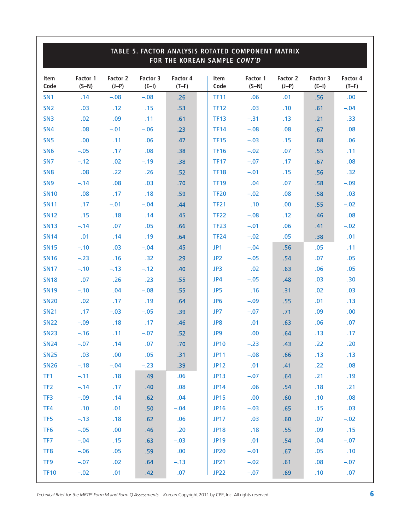|                 | TABLE 5. FACTOR ANALYSIS ROTATED COMPONENT MATRIX<br>FOR THE KOREAN SAMPLE CONT'D |                     |                     |                     |                     |                     |                     |                     |                     |
|-----------------|-----------------------------------------------------------------------------------|---------------------|---------------------|---------------------|---------------------|---------------------|---------------------|---------------------|---------------------|
| Item<br>Code    | Factor 1<br>$(S-N)$                                                               | Factor 2<br>$(J-P)$ | Factor 3<br>$(E-I)$ | Factor 4<br>$(T-F)$ | <b>Item</b><br>Code | Factor 1<br>$(S-N)$ | Factor 2<br>$(J-P)$ | Factor 3<br>$(E-I)$ | Factor 4<br>$(T-F)$ |
| SN <sub>1</sub> | .14                                                                               | $-.08$              | $-.08$              | .26                 | <b>TF11</b>         | .06                 | .01                 | .56                 | .00.                |
| SN <sub>2</sub> | .03                                                                               | .12                 | .15                 | .53                 | <b>TF12</b>         | .03                 | .10                 | .61                 | $-.04$              |
| SN <sub>3</sub> | .02                                                                               | .09                 | .11                 | .61                 | <b>TF13</b>         | $-.31$              | .13                 | .21                 | .33                 |
| SN <sub>4</sub> | .08                                                                               | $-.01$              | $-.06$              | .23                 | <b>TF14</b>         | $-.08$              | .08                 | .67                 | .08                 |
| SN <sub>5</sub> | .00                                                                               | .11                 | .06                 | .47                 | <b>TF15</b>         | $-.03$              | .15                 | .68                 | .06                 |
| SN <sub>6</sub> | $-.05$                                                                            | .17                 | .08                 | .38                 | <b>TF16</b>         | $-.02$              | .07                 | .55                 | .11                 |
| SN <sub>7</sub> | $-.12$                                                                            | .02                 | $-.19$              | .38                 | <b>TF17</b>         | $-.07$              | .17                 | .67                 | .08                 |
| SN <sub>8</sub> | .08                                                                               | .22                 | .26                 | .52                 | <b>TF18</b>         | $-.01$              | .15                 | .56                 | .32                 |
| SN <sub>9</sub> | $-.14$                                                                            | .08                 | .03                 | .70                 | <b>TF19</b>         | .04                 | .07                 | .58                 | $-.09$              |
| <b>SN10</b>     | .08                                                                               | .17                 | .18                 | .59                 | <b>TF20</b>         | $-.02$              | .08                 | .58                 | .03                 |
| <b>SN11</b>     | .17                                                                               | $-.01$              | $-.04$              | .44                 | <b>TF21</b>         | .10                 | .00                 | .55                 | $-.02$              |
| <b>SN12</b>     | .15                                                                               | .18                 | .14                 | .45                 | <b>TF22</b>         | $-.08$              | .12                 | .46                 | .08                 |
| <b>SN13</b>     | $-.14$                                                                            | .07                 | .05                 | .66                 | <b>TF23</b>         | $-.01$              | .06                 | .41                 | $-.02$              |
| <b>SN14</b>     | .01                                                                               | .14                 | .19                 | .64                 | <b>TF24</b>         | $-.02$              | .05                 | .38                 | .01                 |
| <b>SN15</b>     | $-.10$                                                                            | .03                 | $-.04$              | .45                 | JP1                 | $-.04$              | .56                 | .05                 | .11                 |
| <b>SN16</b>     | $-.23$                                                                            | .16                 | .32                 | .29                 | JP <sub>2</sub>     | $-.05$              | .54                 | .07                 | .05                 |
| <b>SN17</b>     | $-.10$                                                                            | $-.13$              | $-.12$              | .40                 | JP3                 | .02                 | .63                 | .06                 | .05                 |
| <b>SN18</b>     | .07                                                                               | .26                 | .23                 | .55                 | JP4                 | $-.05$              | .48                 | .03                 | .30                 |
| <b>SN19</b>     | $-.10$                                                                            | .04                 | $-.08$              | .55                 | JP5                 | .16                 | .31                 | .02                 | .03                 |
| <b>SN20</b>     | .02                                                                               | .17                 | .19                 | .64                 | JP <sub>6</sub>     | $-.09$              | .55                 | .01                 | .13                 |
| <b>SN21</b>     | .17                                                                               | $-.03$              | $-.05$              | .39                 | JP7                 | $-.07$              | .71                 | .09                 | .00                 |
| <b>SN22</b>     | $-.09$                                                                            | .18                 | .17                 | .46                 | JP8                 | .01                 | .63                 | .06                 | .07                 |
| <b>SN23</b>     | $-.16$                                                                            | .11                 | $-.07$              | .52                 | JP9                 | .00.                | .64                 | .13                 | .17                 |
| <b>SN24</b>     | $-.07$                                                                            | .14                 | .07                 | .70                 | <b>JP10</b>         | $-.23$              | .43                 | .22                 | .20                 |
| <b>SN25</b>     | .03                                                                               | .00                 | .05                 | .31                 | <b>JP11</b>         | $-.08$              | .66                 | .13                 | .13                 |
| <b>SN26</b>     | $-.18$                                                                            | $-.04$              | $-.23$              | .39                 | <b>JP12</b>         | .01                 | .41                 | .22                 | .08                 |
| TF1             | $-.11$                                                                            | .18                 | .49                 | .06                 | <b>JP13</b>         | $-.07$              | .64                 | .21                 | .19                 |
| TF <sub>2</sub> | $-.14$                                                                            | .17                 | .40                 | .08                 | <b>JP14</b>         | .06                 | .54                 | .18                 | .21                 |
| TF3             | $-.09$                                                                            | .14                 | .62                 | .04                 | <b>JP15</b>         | .00                 | .60                 | .10                 | .08                 |
| TF4             | .10                                                                               | .01                 | .50                 | $-.04$              | <b>JP16</b>         | $-.03$              | .65                 | .15                 | .03                 |
| TF <sub>5</sub> | $-.13$                                                                            | .18                 | .62                 | .06                 | <b>JP17</b>         | .03                 | .60                 | .07                 | $-.02$              |
| TF <sub>6</sub> | $-.05$                                                                            | .00.                | .46                 | .20                 | <b>JP18</b>         | .18                 | .55                 | .09                 | .15                 |
| TF7             | $-.04$                                                                            | .15                 | .63                 | $-.03$              | <b>JP19</b>         | .01                 | .54                 | .04                 | $-.07$              |
| TF8             | $-.06$                                                                            | .05                 | .59                 | .00.                | <b>JP20</b>         | $-.01$              | .67                 | .05                 | .10                 |
| TF9             | $-.07$                                                                            | .02                 | .64                 | $-.13$              | <b>JP21</b>         | $-.02$              | .61                 | .08                 | $-.07$              |
| <b>TF10</b>     | $-.02$                                                                            | .01                 | .42                 | .07                 | <b>JP22</b>         | $-.07$              | .69                 | .10                 | .07                 |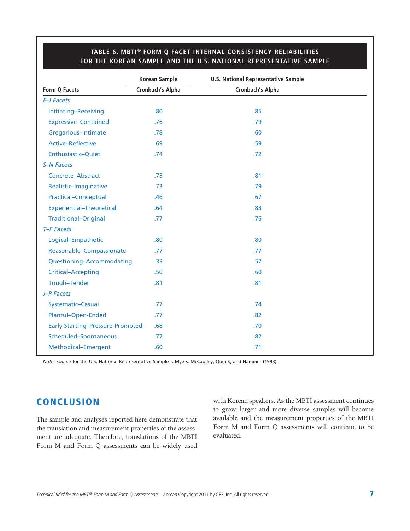|                                         | <b>Korean Sample</b> | <b>U.S. National Representative Sample</b> |  |
|-----------------------------------------|----------------------|--------------------------------------------|--|
| Form Q Facets                           | Cronbach's Alpha     | Cronbach's Alpha                           |  |
| E-I Facets                              |                      |                                            |  |
| Initiating-Receiving                    | .80                  | .85                                        |  |
| <b>Expressive-Contained</b>             | .76                  | .79                                        |  |
| Gregarious-Intimate                     | .78                  | .60                                        |  |
| Active-Reflective                       | .69                  | .59                                        |  |
| Enthusiastic-Quiet                      | .74                  | .72                                        |  |
| <b>S-N Facets</b>                       |                      |                                            |  |
| Concrete-Abstract                       | .75                  | .81                                        |  |
| Realistic-Imaginative                   | .73                  | .79                                        |  |
| <b>Practical-Conceptual</b>             | .46                  | .67                                        |  |
| <b>Experiential-Theoretical</b>         | .64                  | .83                                        |  |
| <b>Traditional-Original</b>             | .77                  | .76                                        |  |
| T-F Facets                              |                      |                                            |  |
| Logical-Empathetic                      | .80                  | .80                                        |  |
| Reasonable-Compassionate                | .77                  | .77                                        |  |
| Questioning-Accommodating               | .33                  | .57                                        |  |
| <b>Critical-Accepting</b>               | .50                  | .60                                        |  |
| Tough-Tender                            | .81                  | .81                                        |  |
| J-P Facets                              |                      |                                            |  |
| Systematic-Casual                       | .77                  | .74                                        |  |
| Planful-Open-Ended                      | .77                  | .82                                        |  |
| <b>Early Starting-Pressure-Prompted</b> | .68                  | .70                                        |  |
| Scheduled-Spontaneous                   | .77                  | .82                                        |  |
| Methodical-Emergent                     | .60                  | .71                                        |  |

### **TABLE 6. MBTI® FORM Q FACET INTERNAL CONSISTENCY RELIABILITIES FOR THE KOREAN SAMPLE AND THE U.S. NATIONAL REPRESENTATIVE SAMPLE**

*Note:* Source for the U.S. National Representative Sample is Myers, McCaulley, Quenk, and Hammer (1998).

## **CONCLUSION**

The sample and analyses reported here demonstrate that the translation and measurement properties of the assessment are adequate. Therefore, translations of the MBTI Form M and Form Q assessments can be widely used with Korean speakers. As the MBTI assessment continues to grow, larger and more diverse samples will become available and the measurement properties of the MBTI Form M and Form Q assessments will continue to be evaluated.